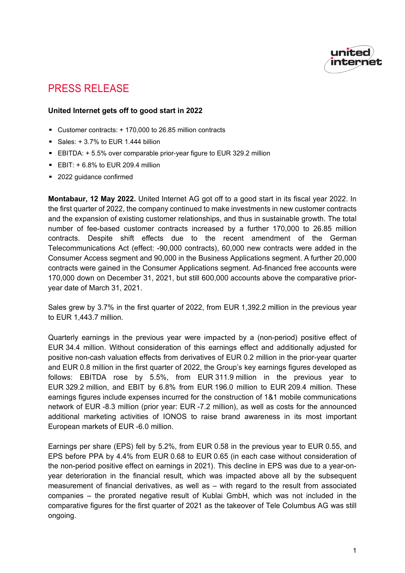

# PRESS RELEASE

### **United Internet gets off to good start in 2022**

- Customer contracts: + 170,000 to 26.85 million contracts
- Sales:  $+3.7%$  to EUR 1.444 billion
- EBITDA: + 5.5% over comparable prior-year figure to EUR 329.2 million
- $EBIT: + 6.8\%$  to EUR 209.4 million
- 2022 quidance confirmed

**Montabaur, 12 May 2022.** United Internet AG got off to a good start in its fiscal year 2022. In the first quarter of 2022, the company continued to make investments in new customer contracts and the expansion of existing customer relationships, and thus in sustainable growth. The total number of fee-based customer contracts increased by a further 170,000 to 26.85 million contracts. Despite shift effects due to the recent amendment of the German Telecommunications Act (effect: -90,000 contracts), 60,000 new contracts were added in the Consumer Access segment and 90,000 in the Business Applications segment. A further 20,000 contracts were gained in the Consumer Applications segment. Ad-financed free accounts were 170,000 down on December 31, 2021, but still 600,000 accounts above the comparative prioryear date of March 31, 2021.

Sales grew by 3.7% in the first quarter of 2022, from EUR 1,392.2 million in the previous year to EUR 1,443.7 million.

Quarterly earnings in the previous year were impacted by a (non-period) positive effect of EUR 34.4 million. Without consideration of this earnings effect and additionally adjusted for positive non-cash valuation effects from derivatives of EUR 0.2 million in the prior-year quarter and EUR 0.8 million in the first quarter of 2022, the Group's key earnings figures developed as follows: EBITDA rose by 5.5%, from EUR 311.9 million in the previous year to EUR 329.2 million, and EBIT by 6.8% from EUR 196.0 million to EUR 209.4 million. These earnings figures include expenses incurred for the construction of 1&1 mobile communications network of EUR -8.3 million (prior year: EUR -7.2 million), as well as costs for the announced additional marketing activities of IONOS to raise brand awareness in its most important European markets of EUR -6.0 million.

Earnings per share (EPS) fell by 5.2%, from EUR 0.58 in the previous year to EUR 0.55, and EPS before PPA by 4.4% from EUR 0.68 to EUR 0.65 (in each case without consideration of the non-period positive effect on earnings in 2021). This decline in EPS was due to a year-onyear deterioration in the financial result, which was impacted above all by the subsequent measurement of financial derivatives, as well as – with regard to the result from associated companies – the prorated negative result of Kublai GmbH, which was not included in the comparative figures for the first quarter of 2021 as the takeover of Tele Columbus AG was still ongoing.